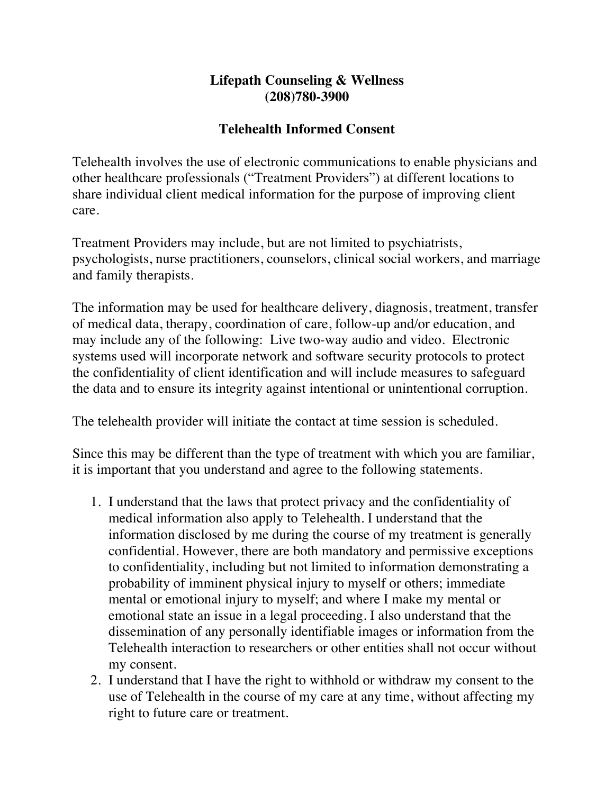## **Lifepath Counseling & Wellness (208)780-3900**

# **Telehealth Informed Consent**

Telehealth involves the use of electronic communications to enable physicians and other healthcare professionals ("Treatment Providers") at different locations to share individual client medical information for the purpose of improving client care.

Treatment Providers may include, but are not limited to psychiatrists, psychologists, nurse practitioners, counselors, clinical social workers, and marriage and family therapists.

The information may be used for healthcare delivery, diagnosis, treatment, transfer of medical data, therapy, coordination of care, follow-up and/or education, and may include any of the following: Live two-way audio and video. Electronic systems used will incorporate network and software security protocols to protect the confidentiality of client identification and will include measures to safeguard the data and to ensure its integrity against intentional or unintentional corruption.

The telehealth provider will initiate the contact at time session is scheduled.

Since this may be different than the type of treatment with which you are familiar, it is important that you understand and agree to the following statements.

- 1. I understand that the laws that protect privacy and the confidentiality of medical information also apply to Telehealth. I understand that the information disclosed by me during the course of my treatment is generally confidential. However, there are both mandatory and permissive exceptions to confidentiality, including but not limited to information demonstrating a probability of imminent physical injury to myself or others; immediate mental or emotional injury to myself; and where I make my mental or emotional state an issue in a legal proceeding. I also understand that the dissemination of any personally identifiable images or information from the Telehealth interaction to researchers or other entities shall not occur without my consent.
- 2. I understand that I have the right to withhold or withdraw my consent to the use of Telehealth in the course of my care at any time, without affecting my right to future care or treatment.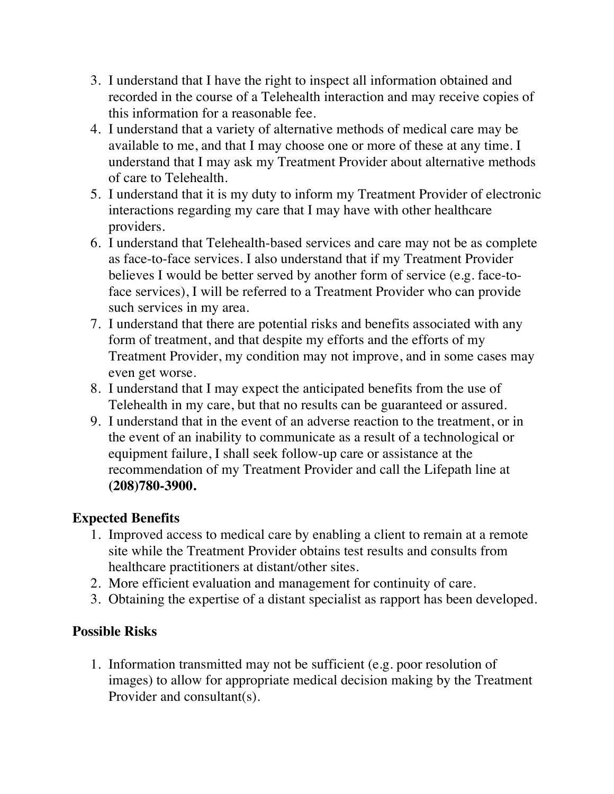- 3. I understand that I have the right to inspect all information obtained and recorded in the course of a Telehealth interaction and may receive copies of this information for a reasonable fee.
- 4. I understand that a variety of alternative methods of medical care may be available to me, and that I may choose one or more of these at any time. I understand that I may ask my Treatment Provider about alternative methods of care to Telehealth.
- 5. I understand that it is my duty to inform my Treatment Provider of electronic interactions regarding my care that I may have with other healthcare providers.
- 6. I understand that Telehealth-based services and care may not be as complete as face-to-face services. I also understand that if my Treatment Provider believes I would be better served by another form of service (e.g. face-toface services), I will be referred to a Treatment Provider who can provide such services in my area.
- 7. I understand that there are potential risks and benefits associated with any form of treatment, and that despite my efforts and the efforts of my Treatment Provider, my condition may not improve, and in some cases may even get worse.
- 8. I understand that I may expect the anticipated benefits from the use of Telehealth in my care, but that no results can be guaranteed or assured.
- 9. I understand that in the event of an adverse reaction to the treatment, or in the event of an inability to communicate as a result of a technological or equipment failure, I shall seek follow-up care or assistance at the recommendation of my Treatment Provider and call the Lifepath line at **(208)780-3900.**

## **Expected Benefits**

- 1. Improved access to medical care by enabling a client to remain at a remote site while the Treatment Provider obtains test results and consults from healthcare practitioners at distant/other sites.
- 2. More efficient evaluation and management for continuity of care.
- 3. Obtaining the expertise of a distant specialist as rapport has been developed.

# **Possible Risks**

1. Information transmitted may not be sufficient (e.g. poor resolution of images) to allow for appropriate medical decision making by the Treatment Provider and consultant(s).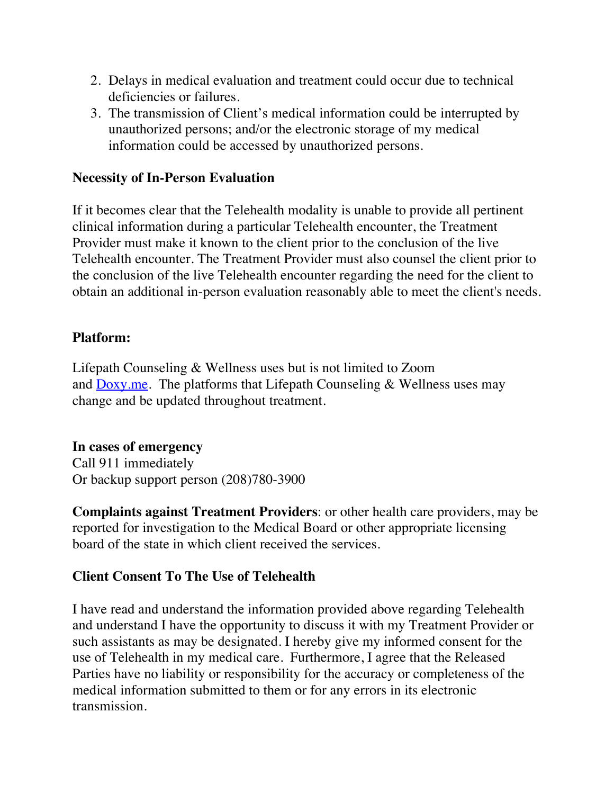- 2. Delays in medical evaluation and treatment could occur due to technical deficiencies or failures.
- 3. The transmission of Client's medical information could be interrupted by unauthorized persons; and/or the electronic storage of my medical information could be accessed by unauthorized persons.

### **Necessity of In-Person Evaluation**

If it becomes clear that the Telehealth modality is unable to provide all pertinent clinical information during a particular Telehealth encounter, the Treatment Provider must make it known to the client prior to the conclusion of the live Telehealth encounter. The Treatment Provider must also counsel the client prior to the conclusion of the live Telehealth encounter regarding the need for the client to obtain an additional in-person evaluation reasonably able to meet the client's needs.

### **Platform:**

Lifepath Counseling & Wellness uses but is not limited to Zoom and  $\overline{Doxy.me}$ . The platforms that Lifepath Counseling & Wellness uses may change and be updated throughout treatment.

#### **In cases of emergency**

Call 911 immediately Or backup support person (208)780-3900

**Complaints against Treatment Providers**: or other health care providers, may be reported for investigation to the Medical Board or other appropriate licensing board of the state in which client received the services.

#### **Client Consent To The Use of Telehealth**

I have read and understand the information provided above regarding Telehealth and understand I have the opportunity to discuss it with my Treatment Provider or such assistants as may be designated. I hereby give my informed consent for the use of Telehealth in my medical care. Furthermore, I agree that the Released Parties have no liability or responsibility for the accuracy or completeness of the medical information submitted to them or for any errors in its electronic transmission.